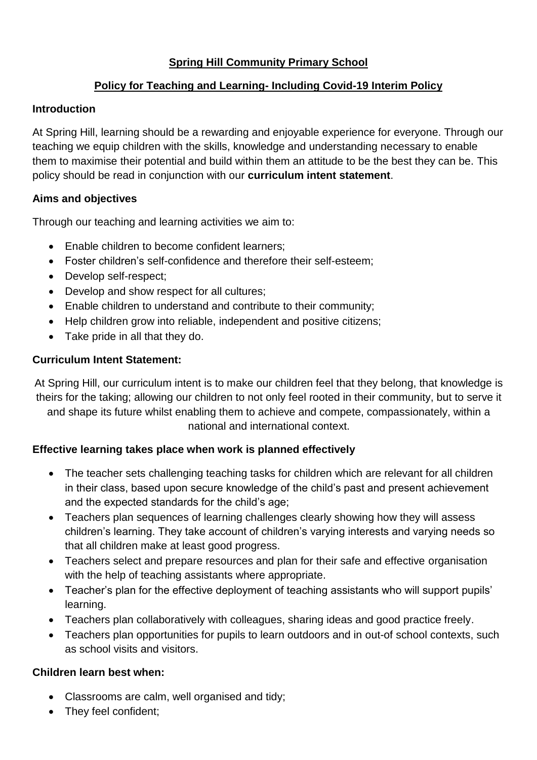## **Spring Hill Community Primary School**

## **Policy for Teaching and Learning- Including Covid-19 Interim Policy**

#### **Introduction**

At Spring Hill, learning should be a rewarding and enjoyable experience for everyone. Through our teaching we equip children with the skills, knowledge and understanding necessary to enable them to maximise their potential and build within them an attitude to be the best they can be. This policy should be read in conjunction with our **curriculum intent statement**.

## **Aims and objectives**

Through our teaching and learning activities we aim to:

- Enable children to become confident learners:
- Foster children's self-confidence and therefore their self-esteem;
- Develop self-respect;
- Develop and show respect for all cultures;
- Enable children to understand and contribute to their community;
- Help children grow into reliable, independent and positive citizens:
- Take pride in all that they do.

#### **Curriculum Intent Statement:**

At Spring Hill, our curriculum intent is to make our children feel that they belong, that knowledge is theirs for the taking; allowing our children to not only feel rooted in their community, but to serve it and shape its future whilst enabling them to achieve and compete, compassionately, within a national and international context.

#### **Effective learning takes place when work is planned effectively**

- The teacher sets challenging teaching tasks for children which are relevant for all children in their class, based upon secure knowledge of the child's past and present achievement and the expected standards for the child's age;
- Teachers plan sequences of learning challenges clearly showing how they will assess children's learning. They take account of children's varying interests and varying needs so that all children make at least good progress.
- Teachers select and prepare resources and plan for their safe and effective organisation with the help of teaching assistants where appropriate.
- Teacher's plan for the effective deployment of teaching assistants who will support pupils' learning.
- Teachers plan collaboratively with colleagues, sharing ideas and good practice freely.
- Teachers plan opportunities for pupils to learn outdoors and in out-of school contexts, such as school visits and visitors.

## **Children learn best when:**

- Classrooms are calm, well organised and tidy;
- They feel confident;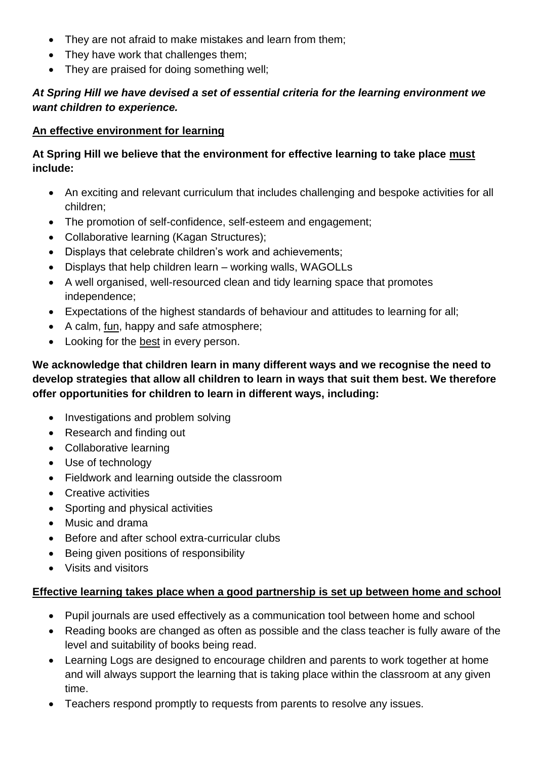- They are not afraid to make mistakes and learn from them;
- They have work that challenges them;
- They are praised for doing something well;

## *At Spring Hill we have devised a set of essential criteria for the learning environment we want children to experience.*

## **An effective environment for learning**

## **At Spring Hill we believe that the environment for effective learning to take place must include:**

- An exciting and relevant curriculum that includes challenging and bespoke activities for all children;
- The promotion of self-confidence, self-esteem and engagement;
- Collaborative learning (Kagan Structures);
- Displays that celebrate children's work and achievements;
- Displays that help children learn working walls, WAGOLLs
- A well organised, well-resourced clean and tidy learning space that promotes independence;
- Expectations of the highest standards of behaviour and attitudes to learning for all;
- A calm, fun, happy and safe atmosphere;
- Looking for the best in every person.

## **We acknowledge that children learn in many different ways and we recognise the need to develop strategies that allow all children to learn in ways that suit them best. We therefore offer opportunities for children to learn in different ways, including:**

- Investigations and problem solving
- Research and finding out
- Collaborative learning
- Use of technology
- Fieldwork and learning outside the classroom
- Creative activities
- Sporting and physical activities
- Music and drama
- Before and after school extra-curricular clubs
- Being given positions of responsibility
- Visits and visitors

## **Effective learning takes place when a good partnership is set up between home and school**

- Pupil journals are used effectively as a communication tool between home and school
- Reading books are changed as often as possible and the class teacher is fully aware of the level and suitability of books being read.
- Learning Logs are designed to encourage children and parents to work together at home and will always support the learning that is taking place within the classroom at any given time.
- Teachers respond promptly to requests from parents to resolve any issues.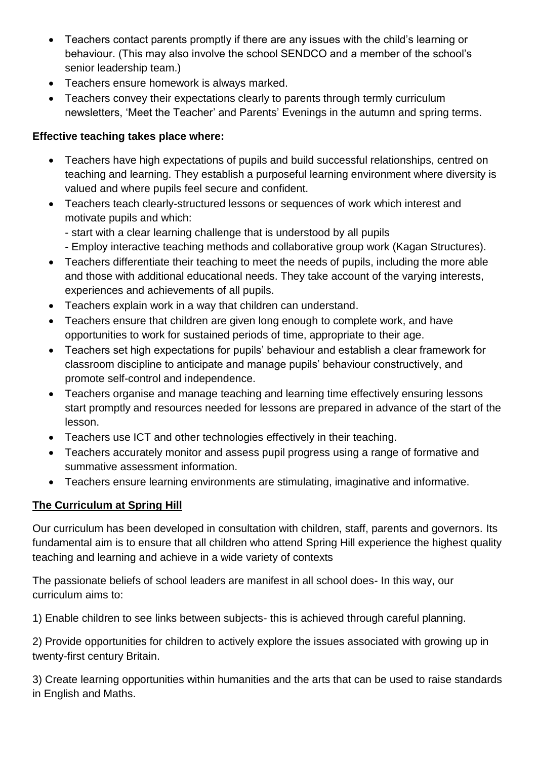- Teachers contact parents promptly if there are any issues with the child's learning or behaviour. (This may also involve the school SENDCO and a member of the school's senior leadership team.)
- Teachers ensure homework is always marked.
- Teachers convey their expectations clearly to parents through termly curriculum newsletters, 'Meet the Teacher' and Parents' Evenings in the autumn and spring terms.

## **Effective teaching takes place where:**

- Teachers have high expectations of pupils and build successful relationships, centred on teaching and learning. They establish a purposeful learning environment where diversity is valued and where pupils feel secure and confident.
- Teachers teach clearly-structured lessons or sequences of work which interest and motivate pupils and which:
	- start with a clear learning challenge that is understood by all pupils
	- Employ interactive teaching methods and collaborative group work (Kagan Structures).
- Teachers differentiate their teaching to meet the needs of pupils, including the more able and those with additional educational needs. They take account of the varying interests, experiences and achievements of all pupils.
- Teachers explain work in a way that children can understand.
- Teachers ensure that children are given long enough to complete work, and have opportunities to work for sustained periods of time, appropriate to their age.
- Teachers set high expectations for pupils' behaviour and establish a clear framework for classroom discipline to anticipate and manage pupils' behaviour constructively, and promote self-control and independence.
- Teachers organise and manage teaching and learning time effectively ensuring lessons start promptly and resources needed for lessons are prepared in advance of the start of the lesson.
- Teachers use ICT and other technologies effectively in their teaching.
- Teachers accurately monitor and assess pupil progress using a range of formative and summative assessment information.
- Teachers ensure learning environments are stimulating, imaginative and informative.

# **The Curriculum at Spring Hill**

Our curriculum has been developed in consultation with children, staff, parents and governors. Its fundamental aim is to ensure that all children who attend Spring Hill experience the highest quality teaching and learning and achieve in a wide variety of contexts

The passionate beliefs of school leaders are manifest in all school does- In this way, our curriculum aims to:

1) Enable children to see links between subjects- this is achieved through careful planning.

2) Provide opportunities for children to actively explore the issues associated with growing up in twenty-first century Britain.

3) Create learning opportunities within humanities and the arts that can be used to raise standards in English and Maths.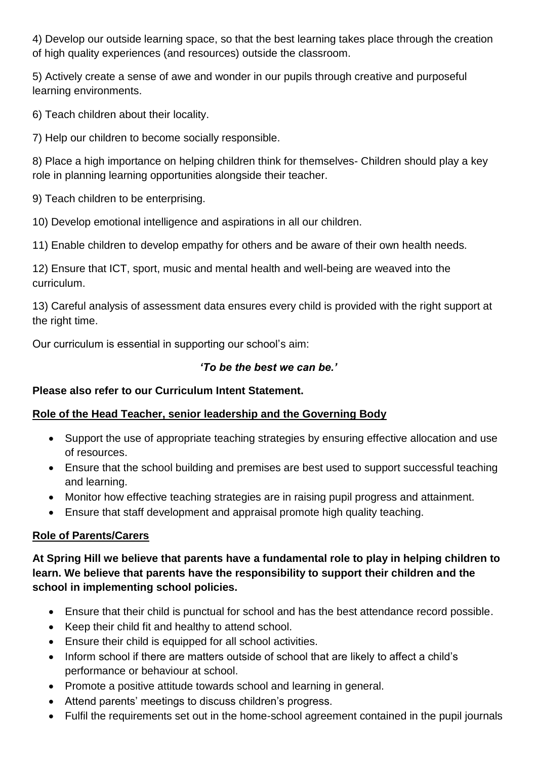4) Develop our outside learning space, so that the best learning takes place through the creation of high quality experiences (and resources) outside the classroom.

5) Actively create a sense of awe and wonder in our pupils through creative and purposeful learning environments.

6) Teach children about their locality.

7) Help our children to become socially responsible.

8) Place a high importance on helping children think for themselves- Children should play a key role in planning learning opportunities alongside their teacher.

9) Teach children to be enterprising.

10) Develop emotional intelligence and aspirations in all our children.

11) Enable children to develop empathy for others and be aware of their own health needs.

12) Ensure that ICT, sport, music and mental health and well-being are weaved into the curriculum.

13) Careful analysis of assessment data ensures every child is provided with the right support at the right time.

Our curriculum is essential in supporting our school's aim:

## *'To be the best we can be.'*

# **Please also refer to our Curriculum Intent Statement.**

# **Role of the Head Teacher, senior leadership and the Governing Body**

- Support the use of appropriate teaching strategies by ensuring effective allocation and use of resources.
- Ensure that the school building and premises are best used to support successful teaching and learning.
- Monitor how effective teaching strategies are in raising pupil progress and attainment.
- Ensure that staff development and appraisal promote high quality teaching.

# **Role of Parents/Carers**

**At Spring Hill we believe that parents have a fundamental role to play in helping children to learn. We believe that parents have the responsibility to support their children and the school in implementing school policies.**

- Ensure that their child is punctual for school and has the best attendance record possible.
- Keep their child fit and healthy to attend school.
- Ensure their child is equipped for all school activities.
- Inform school if there are matters outside of school that are likely to affect a child's performance or behaviour at school.
- Promote a positive attitude towards school and learning in general.
- Attend parents' meetings to discuss children's progress.
- Fulfil the requirements set out in the home-school agreement contained in the pupil journals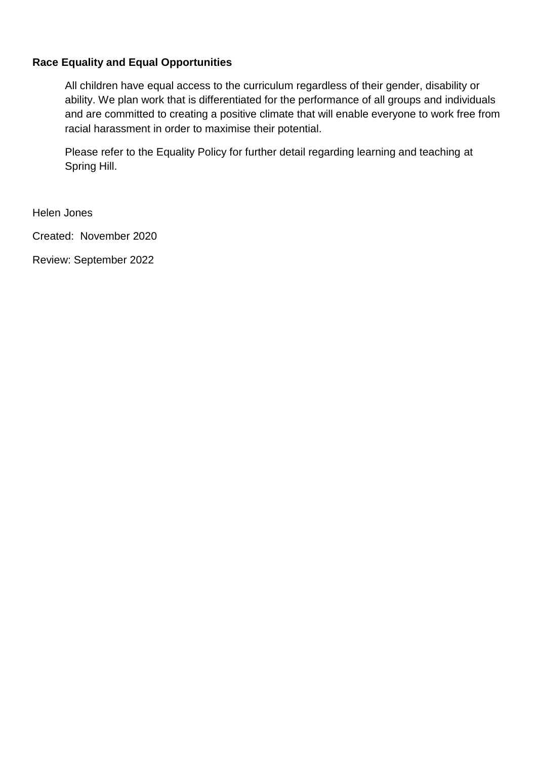#### **Race Equality and Equal Opportunities**

All children have equal access to the curriculum regardless of their gender, disability or ability. We plan work that is differentiated for the performance of all groups and individuals and are committed to creating a positive climate that will enable everyone to work free from racial harassment in order to maximise their potential.

Please refer to the Equality Policy for further detail regarding learning and teaching at Spring Hill.

Helen Jones

Created: November 2020

Review: September 2022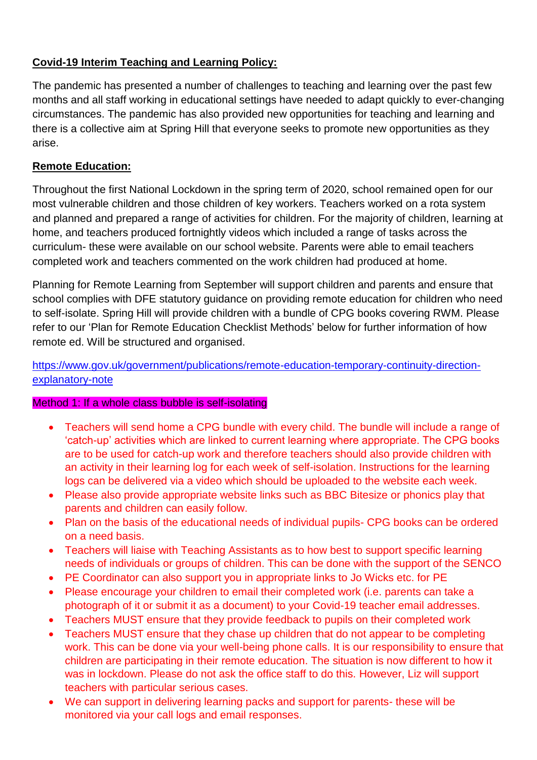## **Covid-19 Interim Teaching and Learning Policy:**

The pandemic has presented a number of challenges to teaching and learning over the past few months and all staff working in educational settings have needed to adapt quickly to ever-changing circumstances. The pandemic has also provided new opportunities for teaching and learning and there is a collective aim at Spring Hill that everyone seeks to promote new opportunities as they arise.

## **Remote Education:**

Throughout the first National Lockdown in the spring term of 2020, school remained open for our most vulnerable children and those children of key workers. Teachers worked on a rota system and planned and prepared a range of activities for children. For the majority of children, learning at home, and teachers produced fortnightly videos which included a range of tasks across the curriculum- these were available on our school website. Parents were able to email teachers completed work and teachers commented on the work children had produced at home.

Planning for Remote Learning from September will support children and parents and ensure that school complies with DFE statutory guidance on providing remote education for children who need to self-isolate. Spring Hill will provide children with a bundle of CPG books covering RWM. Please refer to our 'Plan for Remote Education Checklist Methods' below for further information of how remote ed. Will be structured and organised.

## [https://www.gov.uk/government/publications/remote-education-temporary-continuity-direction](https://www.gov.uk/government/publications/remote-education-temporary-continuity-direction-explanatory-note)[explanatory-note](https://www.gov.uk/government/publications/remote-education-temporary-continuity-direction-explanatory-note)

#### Method 1: If a whole class bubble is self-isolating

- Teachers will send home a CPG bundle with every child. The bundle will include a range of 'catch-up' activities which are linked to current learning where appropriate. The CPG books are to be used for catch-up work and therefore teachers should also provide children with an activity in their learning log for each week of self-isolation. Instructions for the learning logs can be delivered via a video which should be uploaded to the website each week.
- Please also provide appropriate website links such as BBC Bitesize or phonics play that parents and children can easily follow.
- Plan on the basis of the educational needs of individual pupils- CPG books can be ordered on a need basis.
- Teachers will liaise with Teaching Assistants as to how best to support specific learning needs of individuals or groups of children. This can be done with the support of the SENCO
- PE Coordinator can also support you in appropriate links to Jo Wicks etc. for PE
- Please encourage your children to email their completed work (i.e. parents can take a photograph of it or submit it as a document) to your Covid-19 teacher email addresses.
- Teachers MUST ensure that they provide feedback to pupils on their completed work
- Teachers MUST ensure that they chase up children that do not appear to be completing work. This can be done via your well-being phone calls. It is our responsibility to ensure that children are participating in their remote education. The situation is now different to how it was in lockdown. Please do not ask the office staff to do this. However, Liz will support teachers with particular serious cases.
- We can support in delivering learning packs and support for parents- these will be monitored via your call logs and email responses.